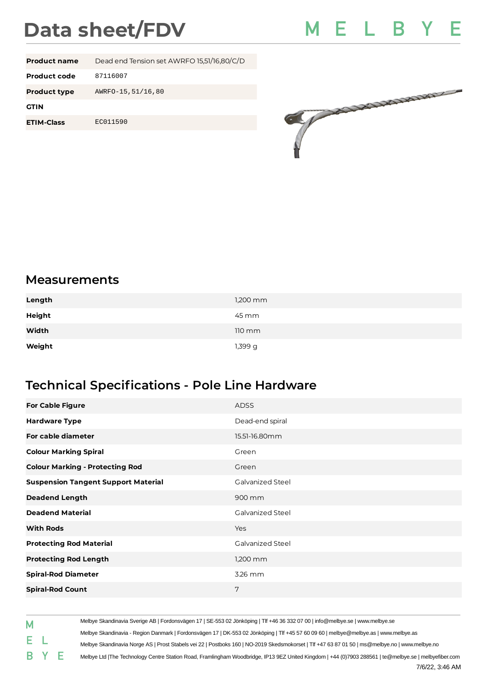## **Data sheet/FDV**



| <b>Product name</b> | Dead end Tension set AWRFO 15,51/16,80/C/D |
|---------------------|--------------------------------------------|
| Product code        | 87116007                                   |
| <b>Product type</b> | AWRF0-15, 51/16, 80                        |
| <b>GTIN</b>         |                                            |
| <b>ETIM-Class</b>   | EC011590                                   |
|                     |                                            |



## **Measurements**

| Length | $1,200$ mm         |
|--------|--------------------|
| Height | 45 mm              |
| Width  | $110 \, \text{mm}$ |
| Weight | 1,399 g            |

## **Technical Specifications - Pole Line Hardware**

| <b>For Cable Figure</b>                    | <b>ADSS</b>             |
|--------------------------------------------|-------------------------|
| <b>Hardware Type</b>                       | Dead-end spiral         |
| For cable diameter                         | 15.51-16.80mm           |
| <b>Colour Marking Spiral</b>               | Green                   |
| <b>Colour Marking - Protecting Rod</b>     | Green                   |
| <b>Suspension Tangent Support Material</b> | <b>Galvanized Steel</b> |
| <b>Deadend Length</b>                      | 900 mm                  |
| <b>Deadend Material</b>                    | <b>Galvanized Steel</b> |
| <b>With Rods</b>                           | Yes                     |
| <b>Protecting Rod Material</b>             | <b>Galvanized Steel</b> |
| <b>Protecting Rod Length</b>               | $1,200$ mm              |
| <b>Spiral-Rod Diameter</b>                 | 3.26 mm                 |
| <b>Spiral-Rod Count</b>                    | 7                       |

Melbye Skandinavia Sverige AB | Fordonsvägen 17 | SE-553 02 Jönköping | Tlf +46 36 332 07 00 | info@melbye.se | www.melbye.se M Melbye Skandinavia - Region Danmark | Fordonsvägen 17 | DK-553 02 Jönköping | Tlf +45 57 60 09 60 | melbye@melbye.as | www.melbye.as E  $\mathbf{L}$ Melbye Skandinavia Norge AS | Prost Stabels vei 22 | Postboks 160 | NO-2019 Skedsmokorset | Tlf +47 63 87 01 50 | ms@melbye.no | www.melbye.no B Y Е Melbye Ltd |The Technology Centre Station Road, Framlingham Woodbridge, IP13 9EZ United Kingdom | +44 (0)7903 288561 | te@melbye.se | melbyefiber.com